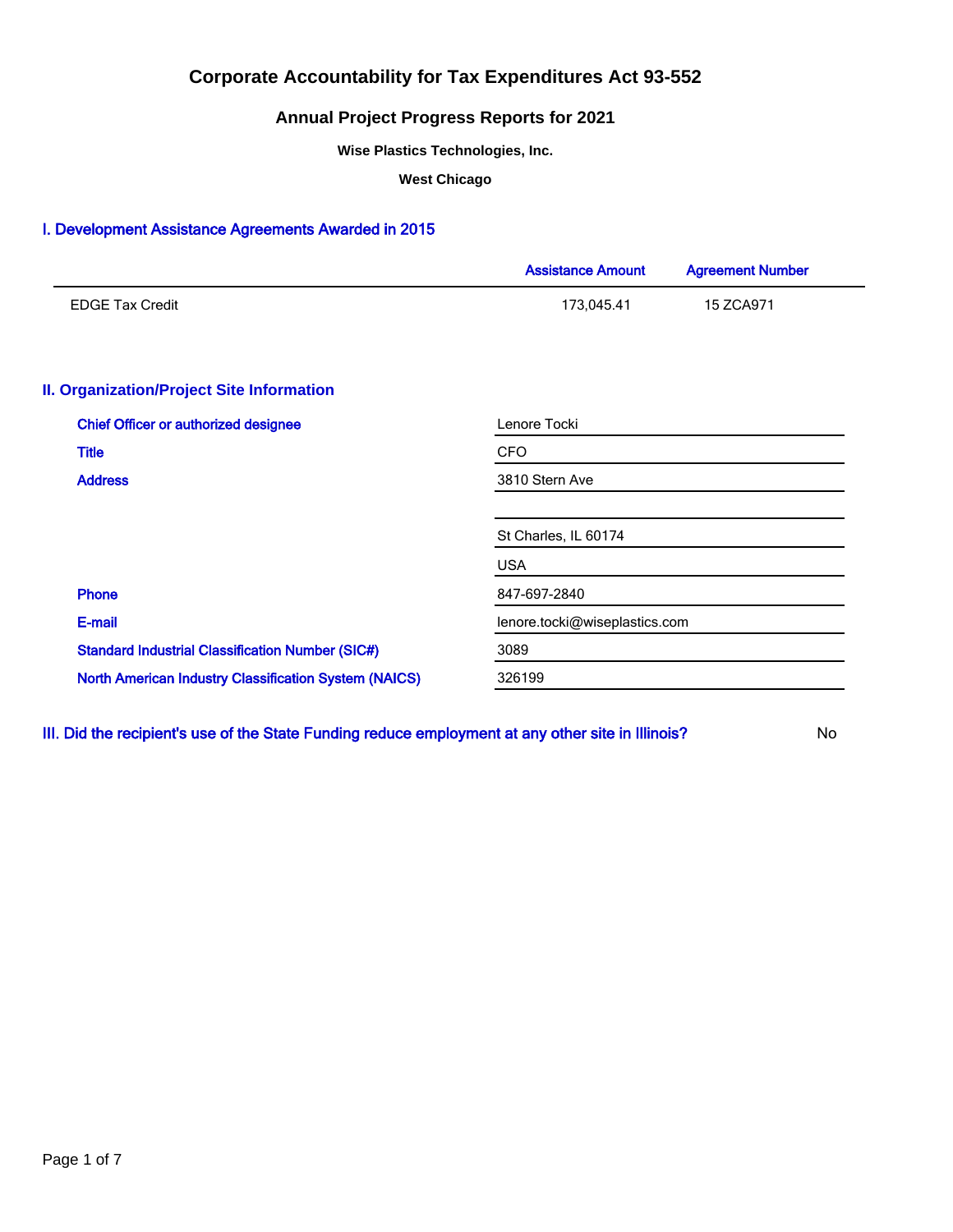## **Annual Project Progress Reports for 2021**

**Wise Plastics Technologies, Inc.**

**West Chicago**

### I. Development Assistance Agreements Awarded in 2015

|                                                              | <b>Assistance Amount</b>      | <b>Agreement Number</b> |  |  |  |
|--------------------------------------------------------------|-------------------------------|-------------------------|--|--|--|
| <b>EDGE Tax Credit</b>                                       | 173,045.41                    | 15 ZCA971               |  |  |  |
| <b>II. Organization/Project Site Information</b>             |                               |                         |  |  |  |
| <b>Chief Officer or authorized designee</b>                  | Lenore Tocki                  |                         |  |  |  |
| <b>Title</b>                                                 | <b>CFO</b>                    |                         |  |  |  |
| <b>Address</b>                                               | 3810 Stern Ave                |                         |  |  |  |
|                                                              | St Charles, IL 60174          |                         |  |  |  |
|                                                              | <b>USA</b>                    |                         |  |  |  |
| <b>Phone</b>                                                 | 847-697-2840                  |                         |  |  |  |
| E-mail                                                       | lenore.tocki@wiseplastics.com |                         |  |  |  |
| <b>Standard Industrial Classification Number (SIC#)</b>      | 3089                          |                         |  |  |  |
| <b>North American Industry Classification System (NAICS)</b> | 326199                        |                         |  |  |  |
|                                                              |                               |                         |  |  |  |

III. Did the recipient's use of the State Funding reduce employment at any other site in Illinois? No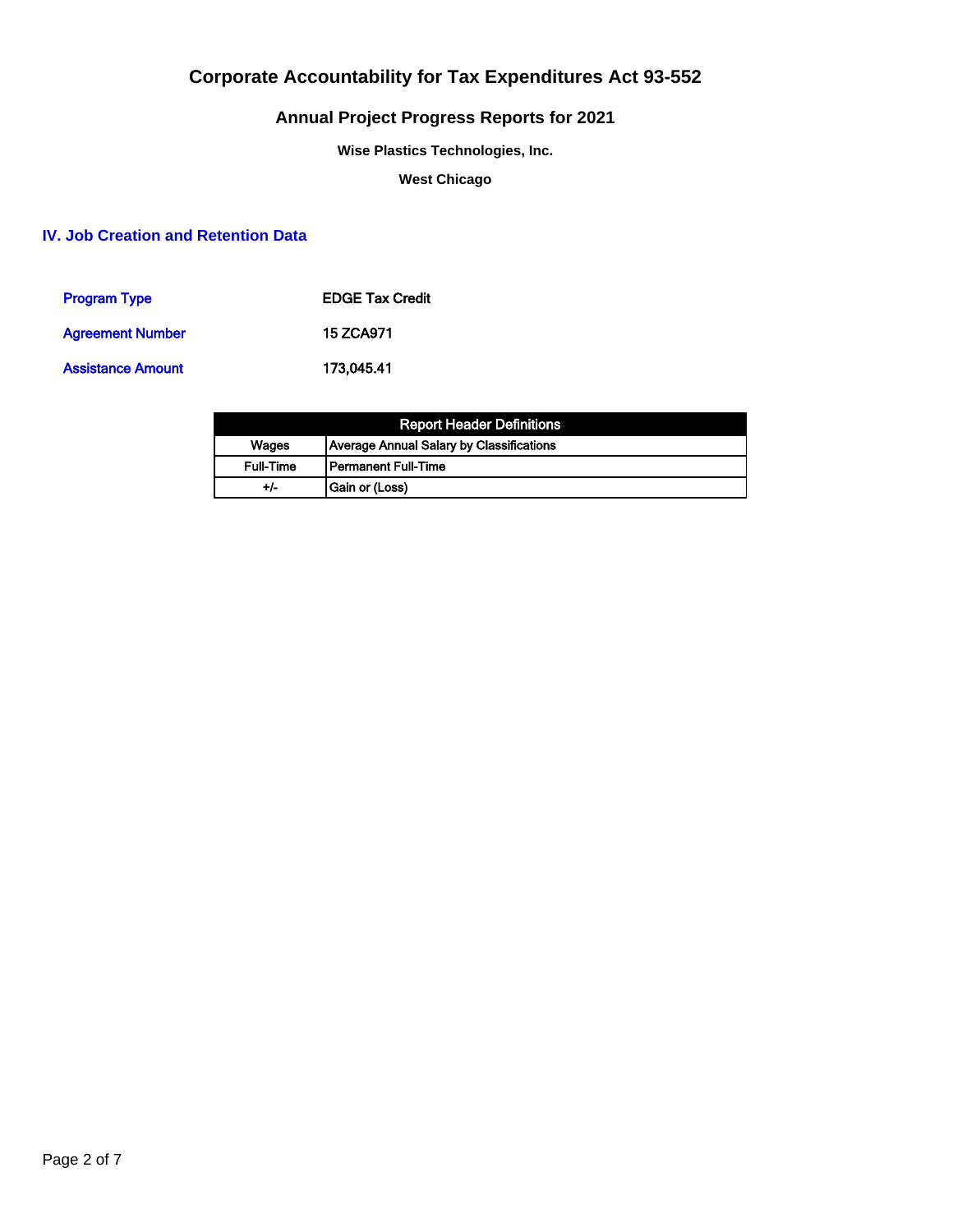## **Annual Project Progress Reports for 2021**

**Wise Plastics Technologies, Inc.**

**West Chicago**

## **IV. Job Creation and Retention Data**

| <b>Program Type</b>      | <b>EDGE Tax Credit</b> |
|--------------------------|------------------------|
| <b>Agreement Number</b>  | <b>15 ZCA971</b>       |
| <b>Assistance Amount</b> | 173.045.41             |

|                  | <b>Report Header Definitions</b>         |
|------------------|------------------------------------------|
| Wages            | Average Annual Salary by Classifications |
| <b>Full-Time</b> | l Permanent Full-Time                    |
| $+/-$            | Gain or (Loss)                           |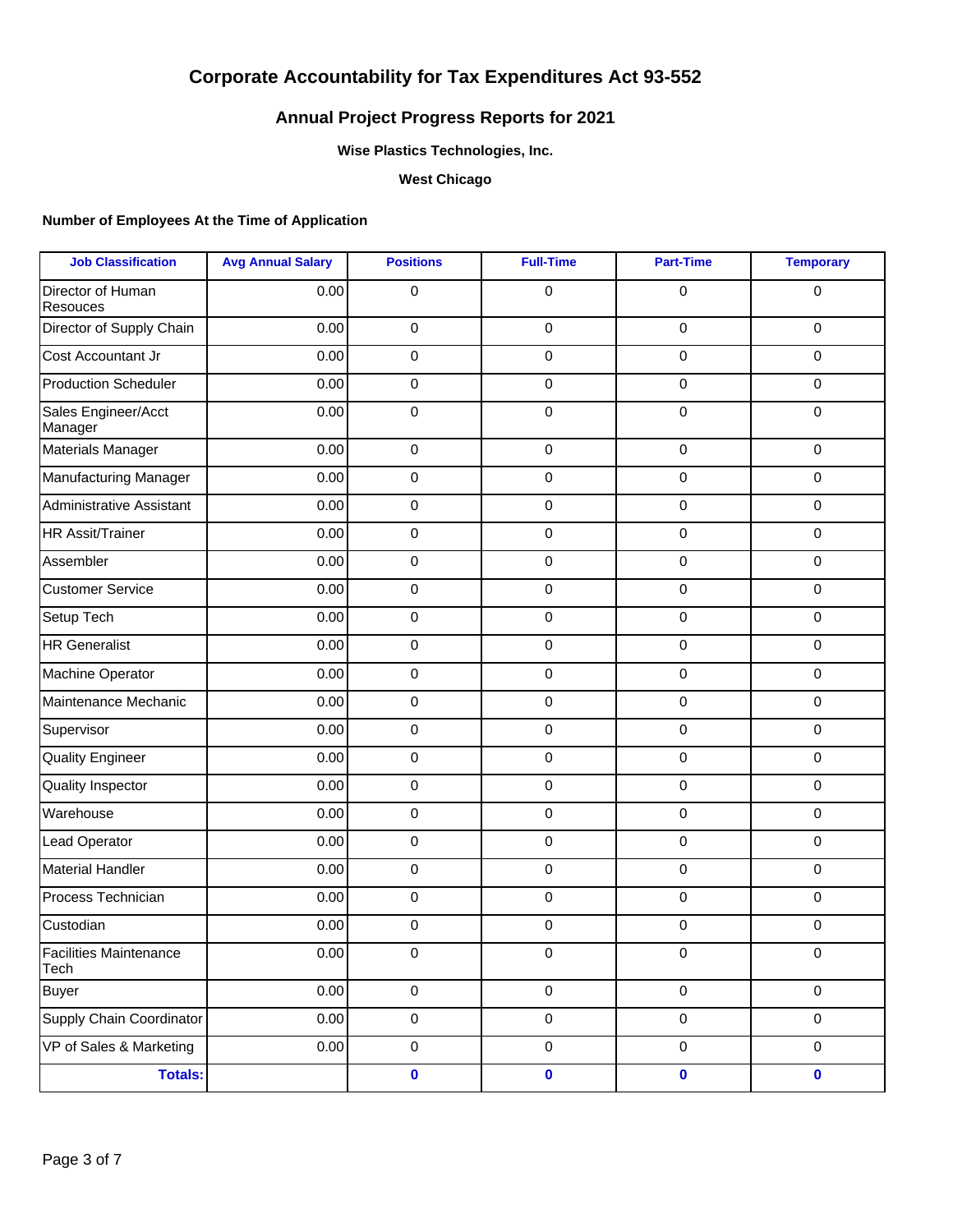## **Annual Project Progress Reports for 2021**

### **Wise Plastics Technologies, Inc.**

**West Chicago**

### **Number of Employees At the Time of Application**

| <b>Job Classification</b>             | <b>Avg Annual Salary</b> | <b>Positions</b> | <b>Full-Time</b> | <b>Part-Time</b> | <b>Temporary</b> |
|---------------------------------------|--------------------------|------------------|------------------|------------------|------------------|
| Director of Human<br>Resouces         | 0.00                     | $\mathbf 0$      | 0                | 0                | $\mathbf 0$      |
| Director of Supply Chain              | 0.00                     | $\mathbf 0$      | $\mathbf 0$      | 0                | $\mathbf 0$      |
| Cost Accountant Jr                    | 0.00                     | $\mathbf 0$      | $\mathbf 0$      | 0                | $\mathbf 0$      |
| <b>Production Scheduler</b>           | 0.00                     | $\pmb{0}$        | 0                | 0                | $\mathbf 0$      |
| Sales Engineer/Acct<br>Manager        | 0.00                     | $\mathbf 0$      | $\mathbf 0$      | 0                | $\mathbf 0$      |
| Materials Manager                     | 0.00                     | $\mathbf 0$      | $\mathbf 0$      | 0                | $\mathbf 0$      |
| Manufacturing Manager                 | 0.00                     | $\mathbf 0$      | $\mathbf 0$      | 0                | $\mathbf 0$      |
| <b>Administrative Assistant</b>       | 0.00                     | $\mathbf 0$      | $\mathbf 0$      | 0                | $\mathbf 0$      |
| <b>HR Assit/Trainer</b>               | 0.00                     | $\mathbf 0$      | 0                | 0                | $\mathbf 0$      |
| Assembler                             | 0.00                     | $\mathbf 0$      | $\mathbf 0$      | 0                | $\mathbf 0$      |
| <b>Customer Service</b>               | 0.00                     | $\mathbf 0$      | 0                | 0                | $\mathbf 0$      |
| Setup Tech                            | 0.00                     | $\mathbf 0$      | $\mathbf 0$      | 0                | $\mathbf 0$      |
| <b>HR Generalist</b>                  | 0.00                     | $\mathbf 0$      | 0                | 0                | $\mathbf 0$      |
| Machine Operator                      | 0.00                     | $\mathbf 0$      | $\mathbf 0$      | 0                | $\mathbf 0$      |
| Maintenance Mechanic                  | 0.00                     | $\mathbf 0$      | 0                | 0                | $\mathbf 0$      |
| Supervisor                            | 0.00                     | $\mathbf 0$      | $\mathbf 0$      | 0                | $\mathbf 0$      |
| <b>Quality Engineer</b>               | 0.00                     | $\mathbf 0$      | $\mathbf 0$      | 0                | $\mathbf 0$      |
| <b>Quality Inspector</b>              | 0.00                     | $\mathbf 0$      | $\mathbf 0$      | 0                | $\mathbf 0$      |
| Warehouse                             | 0.00                     | $\mathbf 0$      | $\mathbf 0$      | 0                | $\mathbf 0$      |
| Lead Operator                         | 0.00                     | $\mathbf 0$      | $\mathbf 0$      | 0                | $\mathbf 0$      |
| <b>Material Handler</b>               | 0.00                     | $\pmb{0}$        | $\mathbf 0$      | 0                | $\mathbf 0$      |
| Process Technician                    | 0.00                     | $\pmb{0}$        | 0                | 0                | $\mathbf 0$      |
| Custodian                             | 0.00                     | $\mathbf 0$      | 0                | 0                | $\mathbf 0$      |
| <b>Facilities Maintenance</b><br>Tech | 0.00                     | 0                | 0                | 0                | $\pmb{0}$        |
| <b>Buyer</b>                          | 0.00                     | $\pmb{0}$        | $\mathbf 0$      | $\mathbf 0$      | $\mathbf 0$      |
| Supply Chain Coordinator              | 0.00                     | $\mathbf 0$      | $\mathbf 0$      | $\pmb{0}$        | $\mathbf 0$      |
| VP of Sales & Marketing               | 0.00                     | $\pmb{0}$        | $\pmb{0}$        | $\mathbf 0$      | $\mathbf 0$      |
| <b>Totals:</b>                        |                          | $\pmb{0}$        | $\pmb{0}$        | $\mathbf 0$      | $\mathbf 0$      |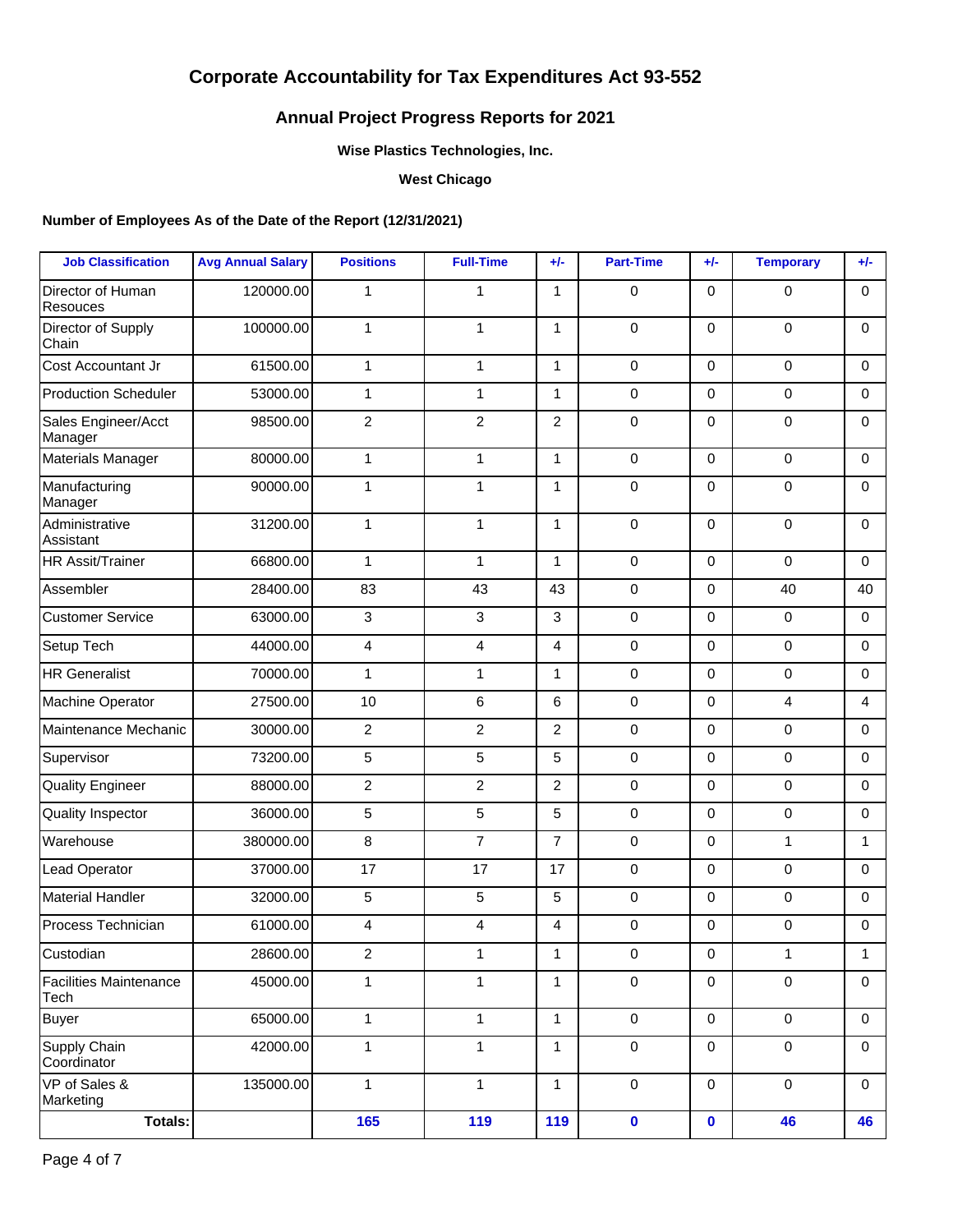## **Annual Project Progress Reports for 2021**

**Wise Plastics Technologies, Inc.**

**West Chicago**

### **Number of Employees As of the Date of the Report (12/31/2021)**

| <b>Job Classification</b>             | <b>Avg Annual Salary</b> | <b>Positions</b> | <b>Full-Time</b> | $+/-$          | <b>Part-Time</b> | $+/-$               | <b>Temporary</b> | $+/-$        |
|---------------------------------------|--------------------------|------------------|------------------|----------------|------------------|---------------------|------------------|--------------|
| Director of Human<br>Resouces         | 120000.00                | $\mathbf{1}$     | 1                | $\mathbf{1}$   | $\mathbf 0$      | $\Omega$            | $\Omega$         | $\Omega$     |
| Director of Supply<br>Chain           | 100000.00                | $\mathbf{1}$     | $\mathbf{1}$     | $\mathbf{1}$   | $\mathbf 0$      | $\Omega$            | $\mathbf 0$      | $\Omega$     |
| Cost Accountant Jr                    | 61500.00                 | $\mathbf{1}$     | $\mathbf{1}$     | $\mathbf{1}$   | $\mathbf 0$      | $\Omega$            | $\mathbf 0$      | $\Omega$     |
| <b>Production Scheduler</b>           | 53000.00                 | 1                | $\mathbf{1}$     | $\mathbf{1}$   | $\pmb{0}$        | $\Omega$            | $\pmb{0}$        | $\Omega$     |
| Sales Engineer/Acct<br>Manager        | 98500.00                 | $\overline{2}$   | $\overline{2}$   | $\overline{2}$ | $\mathbf 0$      | $\Omega$            | $\mathbf 0$      | $\Omega$     |
| <b>Materials Manager</b>              | 80000.00                 | $\mathbf{1}$     | $\mathbf{1}$     | $\mathbf{1}$   | $\mathbf 0$      | $\Omega$            | $\mathbf 0$      | $\Omega$     |
| Manufacturing<br>Manager              | 90000.00                 | 1                | $\mathbf{1}$     | $\mathbf{1}$   | 0                | $\Omega$            | $\mathbf 0$      | $\mathbf 0$  |
| Administrative<br>Assistant           | 31200.00                 | 1                | $\mathbf{1}$     | $\mathbf{1}$   | $\pmb{0}$        | $\Omega$            | $\mathbf 0$      | $\mathbf 0$  |
| <b>HR Assit/Trainer</b>               | 66800.00                 | $\mathbf{1}$     | $\mathbf{1}$     | $\mathbf{1}$   | $\pmb{0}$        | $\Omega$            | $\mathbf 0$      | $\Omega$     |
| Assembler                             | 28400.00                 | 83               | 43               | 43             | $\mathbf 0$      | $\Omega$            | 40               | 40           |
| <b>Customer Service</b>               | 63000.00                 | 3                | 3                | 3              | $\pmb{0}$        | $\Omega$            | $\pmb{0}$        | $\Omega$     |
| Setup Tech                            | 44000.00                 | 4                | $\overline{4}$   | 4              | $\mathbf 0$      | $\Omega$            | $\mathbf 0$      | $\Omega$     |
| <b>HR Generalist</b>                  | 70000.00                 | $\mathbf{1}$     | $\mathbf{1}$     | $\mathbf{1}$   | $\pmb{0}$        | $\Omega$            | $\mathbf 0$      | $\mathbf 0$  |
| Machine Operator                      | 27500.00                 | 10               | 6                | 6              | $\mathbf 0$      | $\Omega$            | $\overline{4}$   | 4            |
| Maintenance Mechanic                  | 30000.00                 | $\overline{2}$   | $\overline{2}$   | $\overline{2}$ | $\pmb{0}$        | $\Omega$            | $\pmb{0}$        | $\Omega$     |
| Supervisor                            | 73200.00                 | 5                | 5                | 5              | $\mathbf 0$      | $\Omega$            | $\mathbf 0$      | $\Omega$     |
| <b>Quality Engineer</b>               | 88000.00                 | $\overline{2}$   | $\overline{2}$   | $\overline{2}$ | 0                | $\Omega$            | $\pmb{0}$        | $\Omega$     |
| Quality Inspector                     | 36000.00                 | 5                | 5                | 5              | $\mathbf 0$      | $\Omega$            | $\mathbf 0$      | $\Omega$     |
| Warehouse                             | 380000.00                | 8                | $\overline{7}$   | $\overline{7}$ | $\pmb{0}$        | $\Omega$            | $\mathbf{1}$     | $\mathbf{1}$ |
| Lead Operator                         | 37000.00                 | 17               | 17               | 17             | $\pmb{0}$        | $\Omega$            | $\mathbf 0$      | $\Omega$     |
| <b>Material Handler</b>               | 32000.00                 | 5                | 5                | 5              | $\pmb{0}$        | $\mathbf 0$         | $\pmb{0}$        | $\Omega$     |
| <b>Process Technician</b>             | 61000.00                 | 4                | 4                | 4              | $\mathbf 0$      | $\Omega$            | $\mathbf 0$      | $\Omega$     |
| Custodian                             | 28600.00                 | $\overline{c}$   | 1                | $\mathbf{1}$   | $\pmb{0}$        | $\mathsf{O}\xspace$ | $\mathbf{1}$     | 1            |
| <b>Facilities Maintenance</b><br>Tech | 45000.00                 | $\mathbf{1}$     | $\mathbf{1}$     | $\mathbf{1}$   | $\mathbf 0$      | $\mathbf 0$         | $\pmb{0}$        | $\Omega$     |
| Buyer                                 | 65000.00                 | $\mathbf{1}$     | $\mathbf{1}$     | $\mathbf{1}$   | $\pmb{0}$        | $\mathbf 0$         | $\pmb{0}$        | $\Omega$     |
| Supply Chain<br>Coordinator           | 42000.00                 | $\mathbf{1}$     | $\mathbf{1}$     | $\mathbf{1}$   | $\pmb{0}$        | $\mathbf 0$         | $\pmb{0}$        | $\mathbf 0$  |
| VP of Sales &<br>Marketing            | 135000.00                | $\mathbf{1}$     | $\mathbf{1}$     | $\mathbf{1}$   | $\mathbf 0$      | $\mathbf 0$         | $\mathbf 0$      | $\Omega$     |
| <b>Totals:</b>                        |                          | 165              | 119              | 119            | $\pmb{0}$        | $\mathbf 0$         | 46               | 46           |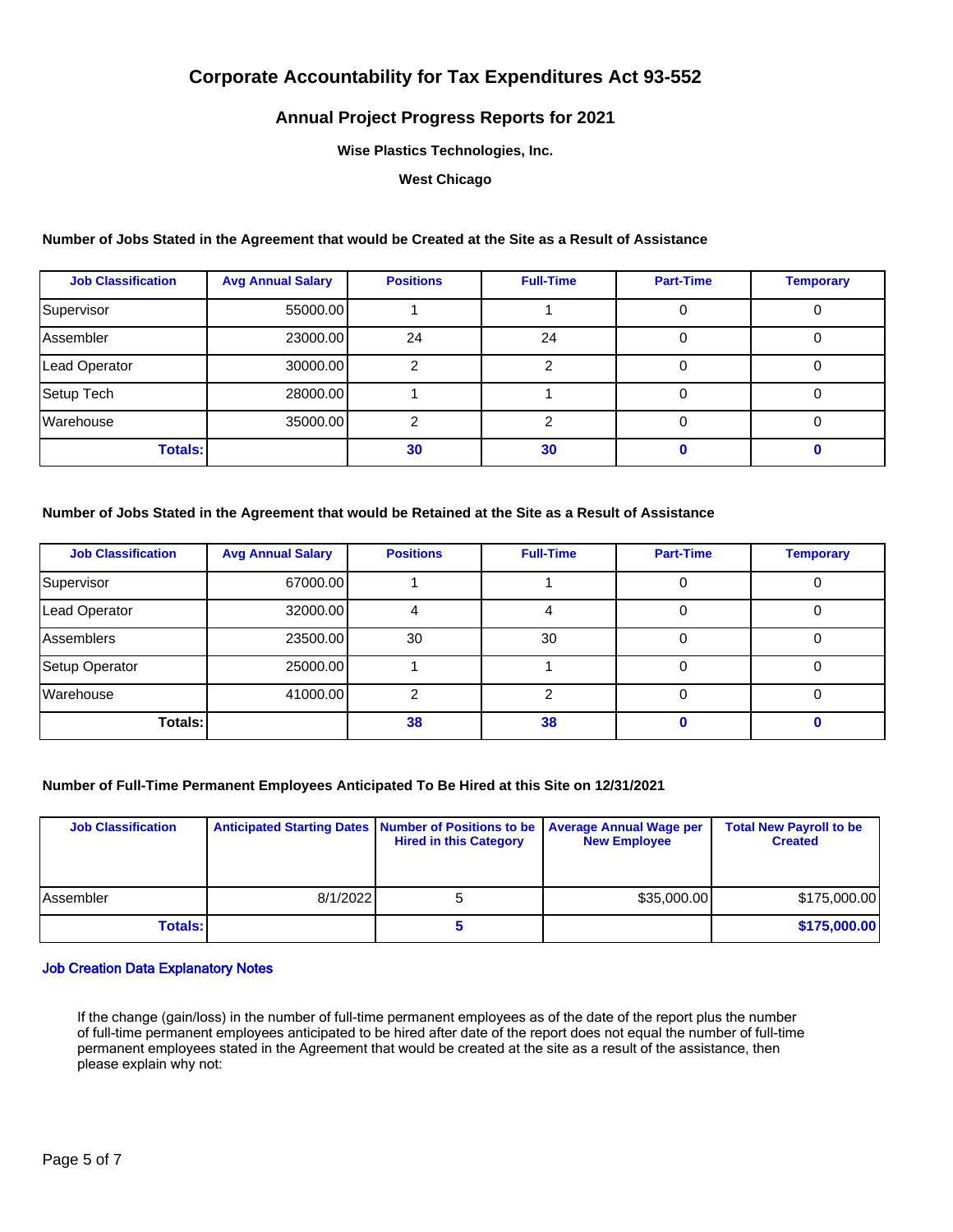### **Annual Project Progress Reports for 2021**

**Wise Plastics Technologies, Inc.**

**West Chicago**

#### **Number of Jobs Stated in the Agreement that would be Created at the Site as a Result of Assistance**

| <b>Job Classification</b> | <b>Avg Annual Salary</b> | <b>Positions</b> | <b>Full-Time</b> | <b>Part-Time</b> | <b>Temporary</b> |
|---------------------------|--------------------------|------------------|------------------|------------------|------------------|
| Supervisor                | 55000.00                 |                  |                  |                  |                  |
| Assembler                 | 23000.00                 | 24               | 24               |                  |                  |
| Lead Operator             | 30000.00                 | ⌒                |                  |                  |                  |
| Setup Tech                | 28000.00                 |                  |                  |                  |                  |
| Warehouse                 | 35000.00                 |                  |                  |                  |                  |
| <b>Totals:</b>            |                          | 30               | 30               |                  |                  |

#### **Number of Jobs Stated in the Agreement that would be Retained at the Site as a Result of Assistance**

| <b>Job Classification</b> | <b>Avg Annual Salary</b> | <b>Positions</b> | <b>Full-Time</b> | <b>Part-Time</b> | <b>Temporary</b> |
|---------------------------|--------------------------|------------------|------------------|------------------|------------------|
| Supervisor                | 67000.00                 |                  |                  |                  |                  |
| Lead Operator             | 32000.00                 |                  |                  |                  |                  |
| Assemblers                | 23500.00                 | 30               | 30               |                  |                  |
| Setup Operator            | 25000.00                 |                  |                  |                  |                  |
| Warehouse                 | 41000.00                 |                  |                  |                  |                  |
| Totals:                   |                          | 38               | 38               |                  |                  |

#### **Number of Full-Time Permanent Employees Anticipated To Be Hired at this Site on 12/31/2021**

| <b>Job Classification</b> | Anticipated Starting Dates   Number of Positions to be   Average Annual Wage per | <b>Hired in this Category</b> | <b>New Employee</b> | <b>Total New Payroll to be</b><br><b>Created</b> |
|---------------------------|----------------------------------------------------------------------------------|-------------------------------|---------------------|--------------------------------------------------|
| <b>Assembler</b>          | 8/1/2022                                                                         |                               | \$35,000.00         | \$175,000.00                                     |
| <b>Totals:</b>            |                                                                                  |                               |                     | \$175,000.00                                     |

#### Job Creation Data Explanatory Notes

If the change (gain/loss) in the number of full-time permanent employees as of the date of the report plus the number of full-time permanent employees anticipated to be hired after date of the report does not equal the number of full-time permanent employees stated in the Agreement that would be created at the site as a result of the assistance, then please explain why not: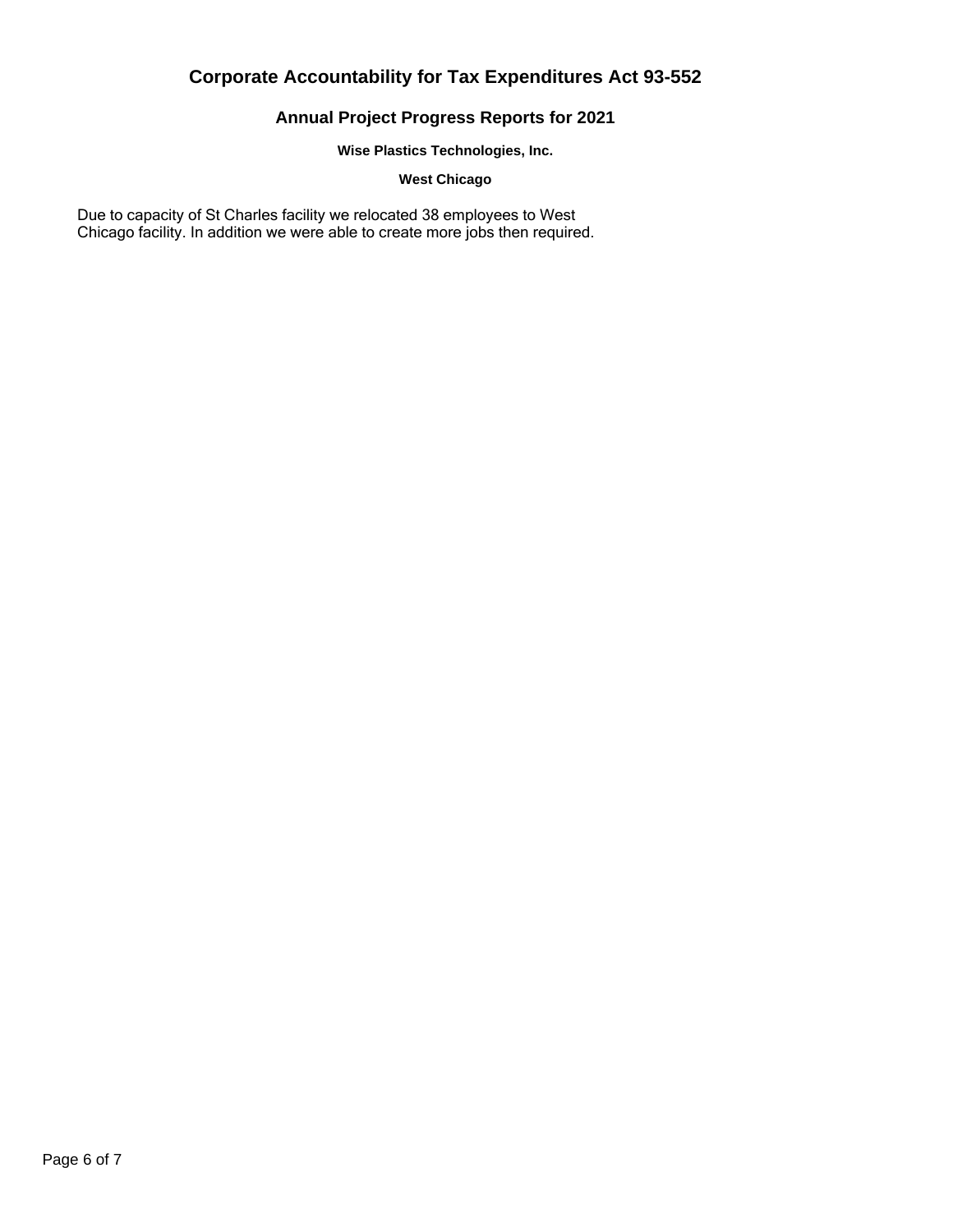## **Annual Project Progress Reports for 2021**

#### **Wise Plastics Technologies, Inc.**

### **West Chicago**

Due to capacity of St Charles facility we relocated 38 employees to West Chicago facility. In addition we were able to create more jobs then required.